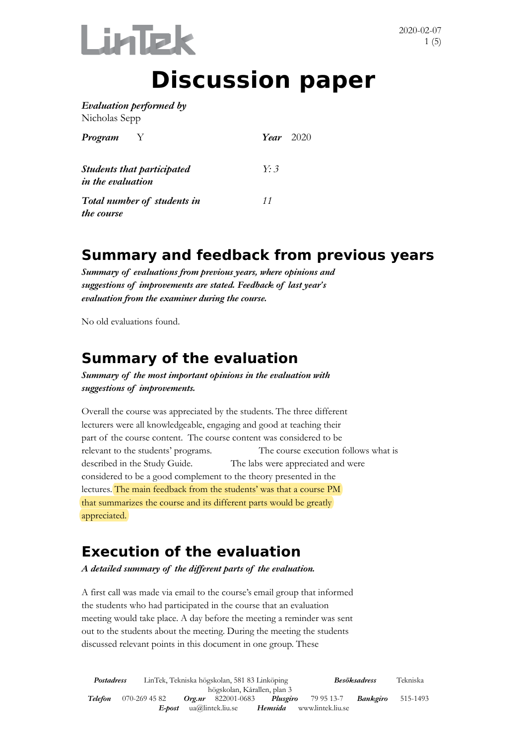

# **Discussion paper**

*Evaluation performed by*  Nicholas Sepp

| Program                                                       |  | Year $2020$    |  |
|---------------------------------------------------------------|--|----------------|--|
| <b>Students that participated</b><br><i>in the evaluation</i> |  | Y <sup>3</sup> |  |
| Total number of students in<br>the course                     |  | 11             |  |

#### **Summary and feedback from previous years**

*Summary of evaluations from previous years, where opinions and suggestions of improvements are stated. Feedback of last year's evaluation from the examiner during the course.* 

No old evaluations found.

#### **Summary of the evaluation**

*Summary of the most important opinions in the evaluation with suggestions of improvements.*

Overall the course was appreciated by the students. The three different lecturers were all knowledgeable, engaging and good at teaching their part of the course content. The course content was considered to be relevant to the students' programs. The course execution follows what is described in the Study Guide. The labs were appreciated and were considered to be a good complement to the theory presented in the lectures. The main feedback from the students' was that a course PM that summarizes the course and its different parts would be greatly appreciated.

#### **Execution of the evaluation**

*A detailed summary of the different parts of the evaluation.* 

A first call was made via email to the course's email group that informed the students who had participated in the course that an evaluation meeting would take place. A day before the meeting a reminder was sent out to the students about the meeting. During the meeting the students discussed relevant points in this document in one group. These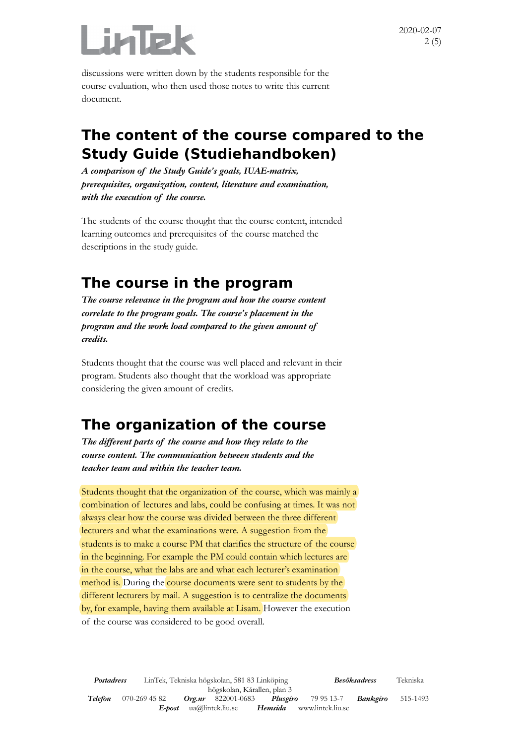

2020-02-07 2 (5)

discussions were written down by the students responsible for the course evaluation, who then used those notes to write this current document.

#### **The content of the course compared to the Study Guide (Studiehandboken)**

*A comparison of the Study Guide's goals, IUAE-matrix, prerequisites, organization, content, literature and examination, with the execution of the course.* 

The students of the course thought that the course content, intended learning outcomes and prerequisites of the course matched the descriptions in the study guide.

#### **The course in the program**

*The course relevance in the program and how the course content correlate to the program goals. The course's placement in the program and the work load compared to the given amount of credits.* 

Students thought that the course was well placed and relevant in their program. Students also thought that the workload was appropriate considering the given amount of credits.

#### **The organization of the course**

*The different parts of the course and how they relate to the course content. The communication between students and the teacher team and within the teacher team.*

Students thought that the organization of the course, which was mainly a combination of lectures and labs, could be confusing at times. It was not always clear how the course was divided between the three different lecturers and what the examinations were. A suggestion from the students is to make a course PM that clarifies the structure of the course in the beginning. For example the PM could contain which lectures are in the course, what the labs are and what each lecturer's examination method is. During the course documents were sent to students by the different lecturers by mail. A suggestion is to centralize the documents by, for example, having them available at Lisam. However the execution of the course was considered to be good overall.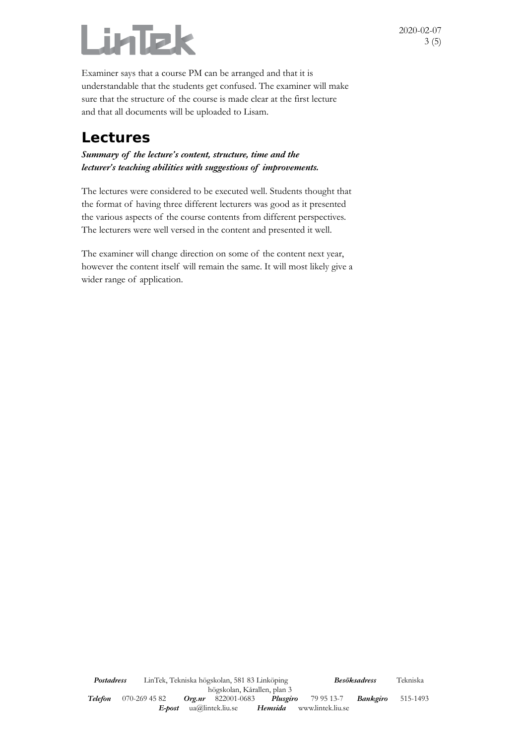# Lintek

Examiner says that a course PM can be arranged and that it is understandable that the students get confused. The examiner will make sure that the structure of the course is made clear at the first lecture and that all documents will be uploaded to Lisam.

#### **Lectures**

*Summary of the lecture's content, structure, time and the lecturer's teaching abilities with suggestions of improvements.*

The lectures were considered to be executed well. Students thought that the format of having three different lecturers was good as it presented the various aspects of the course contents from different perspectives. The lecturers were well versed in the content and presented it well.

The examiner will change direction on some of the content next year, however the content itself will remain the same. It will most likely give a wider range of application.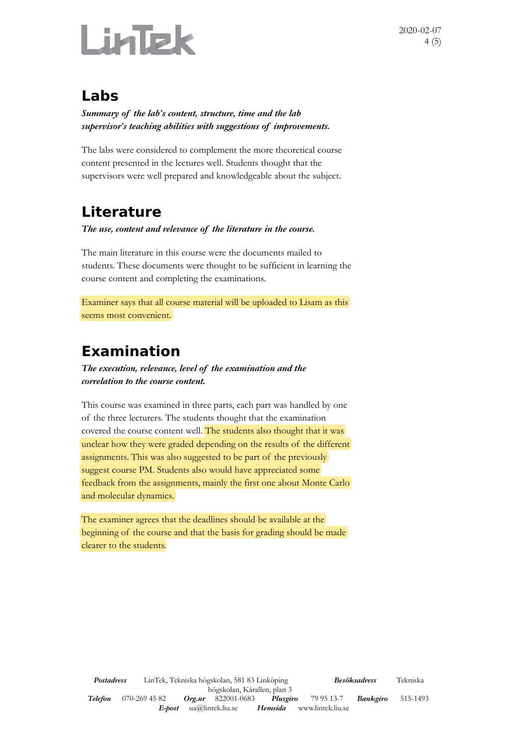

2020-02-07 4 (5)

#### **Labs**

*Summary of the lab's content, structure, time and the lab supervisor's teaching abilities with suggestions of improvements.*

The labs were considered to complement the more theoretical course content presented in the lectures well. Students thought that the supervisors were well prepared and knowledgeable about the subject.

# **Literature**

*The use, content and relevance of the literature in the course.* 

The main literature in this course were the documents mailed to students. These documents were thought to be sufficient in learning the course content and completing the examinations.

Examiner says that all course material will be uploaded to Lisam as this seems most convenient.

# **Examination**

*The execution, relevance, level of the examination and the correlation to the course content.*

This course was examined in three parts, each part was handled by one of the three lecturers. The students thought that the examination covered the course content well. The students also thought that it was unclear how they were graded depending on the results of the different assignments. This was also suggested to be part of the previously suggest course PM. Students also would have appreciated some feedback from the assignments, mainly the first one about Monte Carlo and molecular dynamics.

The examiner agrees that the deadlines should be available at the beginning of the course and that the basis for grading should be made clearer to the students.